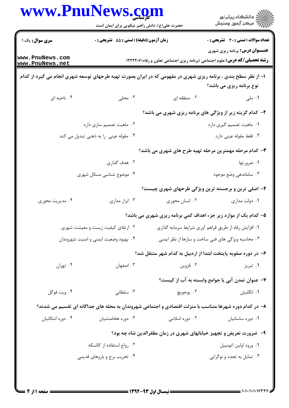|                                                                                                                | حضرت علی(ع): دانش راهبر نیکویی برای ایمان است |                                                                       | ≦ دانشڪاه پيام نور<br>ج‴ مرڪز آزمون وسنڊش                                                                                          |  |
|----------------------------------------------------------------------------------------------------------------|-----------------------------------------------|-----------------------------------------------------------------------|------------------------------------------------------------------------------------------------------------------------------------|--|
| سری سوال: یک ۱                                                                                                 | زمان آزمون (دقیقه) : تستی : 55 آتشریحی : 0    |                                                                       | <b>تعداد سوالات : تستی : 30 ٪ تشریحی : 0</b>                                                                                       |  |
| www.PnuNews.com<br>www.PnuNews.net                                                                             |                                               |                                                                       | <b>عنـــوان درس:</b> برنامه ریزی شهری<br><b>رشته تحصیلی/کد درس:</b> علوم اجتماعی (برنامه ریزی اجتماعی تعاون و رفاه) <b>۱۲۲۲۲۰۶</b> |  |
| ۱– از نظر سطح بندی ، برنامه ریزی شهری در مفهومی که در ایران بصورت تهیه طرحهای توسعه شهری انجام می گیرد از کدام |                                               |                                                                       | نوع برنامه ریزی می باشد؟                                                                                                           |  |
| ۰۴ ناحیه ای                                                                                                    | ۰۳ محلی                                       | ۰۲ منطقه ای                                                           | ۰۱ ملی                                                                                                                             |  |
|                                                                                                                |                                               | ۲- کدام گزینه زیر از ویژگی های برنامه ریزی شهری می باشد؟              |                                                                                                                                    |  |
| ۰۲ ماهیت تصمیم سازی دارد                                                                                       |                                               |                                                                       | ٠١. ماهيت تصميم گيري دارد                                                                                                          |  |
| ۰۴ مقوله عینی را به ذهنی تبدیل می کند                                                                          |                                               |                                                                       | ۰۳ فقط مقوله عيني دارد                                                                                                             |  |
|                                                                                                                |                                               |                                                                       | ۳- کدام مرحله مهمترین مرحله تهیه طرح های شهری می باشد؟                                                                             |  |
|                                                                                                                | ۰۲ هدف گذاری                                  |                                                                       | ۰۱ ضرورتها                                                                                                                         |  |
|                                                                                                                | ۰۴ موضوع شناسی مسائل شهری                     |                                                                       | ۰۳ ساماندهی وضع موجود                                                                                                              |  |
|                                                                                                                |                                               |                                                                       | ۴- اصلی ترین و برجسته ترین ویژگی طرحهای شهری چیست؟                                                                                 |  |
| ۰۴ مدیریت محوری                                                                                                | ۰۳ ابزار مداری                                | ۰۲ انسان محوری                                                        | ۰۱ دولت مداری                                                                                                                      |  |
|                                                                                                                |                                               |                                                                       | ۵- کدام یک از موارد زیر جزء اهداف کمی برنامه ریزی شهری می باشد؟                                                                    |  |
| ۰۲ ارتقای کیفیت زیست و معیشت شهری                                                                              |                                               | ۰۱ افزایش رفاه از طریق فراهم آوری شرایط سرمایه گذاری                  |                                                                                                                                    |  |
| ۰۴ بهبود وضعيت ايمنى و امنيت شهروندان                                                                          |                                               |                                                                       | ۰۳ محاسبه ویژگی های فنی ساخت و سازها از نظر ایمنی                                                                                  |  |
|                                                                                                                |                                               |                                                                       | ۶– در دوره صفویه پایتخت ابتدا از اردبیل به کدام شهر منتقل شد؟                                                                      |  |
| ۰۴ تهران                                                                                                       | ۰۳ اصفهان                                     | ۰۲ قزوين                                                              | ۰۱ تبریز                                                                                                                           |  |
|                                                                                                                |                                               |                                                                       | ۷– عنوان تمدن آبی یا جوامع وابسته به آب از کیست؟                                                                                   |  |
| ۰۴ ويت فوگل                                                                                                    | ۰۳ سلطانی                                     | ۰۲ يوجويچ                                                             | ۰۱ انگلیش                                                                                                                          |  |
|                                                                                                                |                                               |                                                                       | ۸– در کدام دوره شهرها متناسب با منزلت اقتصادی و اجتماعی شهروندان به محله های جداگانه ای تقسیم می شدند؟                             |  |
| ۰۴ دوره اشکانیان                                                                                               | ۰۳ دوره هخامنشیان                             | ۰۲ دوره اسلامی                                                        | ٠١ دوره ساسانيان                                                                                                                   |  |
|                                                                                                                |                                               | ۹- ً ضرورت تعریض و تجهیز خیابانهای شهری در زمان مظفرالدین شاه چه بود؟ |                                                                                                                                    |  |
|                                                                                                                | ۰۲ رواج استفاده از کالسکه                     |                                                                       | ٠١. ورود اولين اتومبيل                                                                                                             |  |
| ۰۴ تخریب برج و باروهای قدیمی                                                                                   |                                               |                                                                       | ۰۳ تمایل به تجدد و نوگرایی                                                                                                         |  |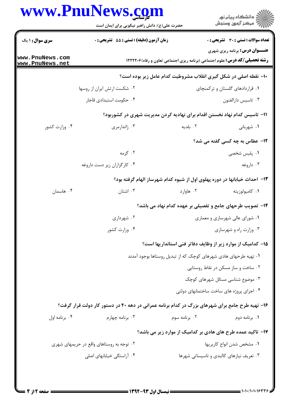## كارشناسي **[www.PnuNews.com](http://www.PnuNews.com)**

|                                    | حضرت علی(ع): دانش راهبر نیکویی برای ایمان است                                                   |                                | ِ<br>∭ دانشڪاه پيام نور<br>∭ مرڪز آزمون وسنڊش                                                                              |
|------------------------------------|-------------------------------------------------------------------------------------------------|--------------------------------|----------------------------------------------------------------------------------------------------------------------------|
| <b>سری سوال : ۱ یک</b>             | <b>زمان آزمون (دقیقه) : تستی : 55 تشریحی : 0</b>                                                |                                | <b>تعداد سوالات : تستی : 30 ٪ تشریحی : 0</b>                                                                               |
| www.PnuNews.com<br>www.PnuNews.net |                                                                                                 |                                | <b>عنـــوان درس:</b> برنامه ریزی شهری<br><b>رشته تحصیلی/کد درس:</b> علوم اجتماعی (برنامه ریزی اجتماعی تعاون و رفاه)۱۲۲۲۲۰۶ |
|                                    |                                                                                                 |                                | ∙ا− نقطه اصلی در شکل گیری انقلاب مشروطیت کدام عامل زیر بوده است؟                                                           |
|                                    | ۰۲ شکست ارتش ایران از روسها                                                                     |                                | ۰۱ قراردادهای گلستان و ترکمنچای                                                                                            |
|                                    | ۰۴ حکومت استبدادی قاجار                                                                         |                                | ۰۳ تاسيس دارالفنون                                                                                                         |
|                                    |                                                                                                 |                                | 11– تاسیس کدام نهاد نخستن اقدام برای نهادیه کردن مدیریت شهری در کشوربود؟                                                   |
| ۰۴ وزارت کشور                      | ۰۳ ژاندارمری                                                                                    | ۰۲ بلديه                       | ۰۱ شهربانی                                                                                                                 |
|                                    |                                                                                                 |                                | <b>۱۲</b> - عطاس به چه کسی گفته می شد؟                                                                                     |
|                                    | ۰۲ گزمه                                                                                         |                                | ۰۱ پلیس شخصی                                                                                                               |
|                                    | ۰۴ کارگزاران زیر دست داروغه                                                                     |                                | ۰۳ داروغه                                                                                                                  |
|                                    |                                                                                                 |                                | ۱۳– احداث خیابانها در دوره پهلوی اول از شیوه کدام شهرساز الهام گرفته بود؟                                                  |
| ۰۴ هاسمان                          | ۰۳ اشتان                                                                                        | ۰۲ هاوارد                      | ٠١ كاميولوزيته                                                                                                             |
|                                    |                                                                                                 |                                | ۱۴- تصویب طرحهای جامع و تفصیلی بر عهده کدام نهاد می باشد؟                                                                  |
|                                    | ۰۲ شهرداری                                                                                      | ۰۱ شورای عالی شهرسازی و معماری |                                                                                                                            |
|                                    | ۰۴ وزارت کشور                                                                                   |                                | ۰۳ وزارت راه و شهرسازی                                                                                                     |
|                                    |                                                                                                 |                                | ۱۵– کدامیک از موارد زیر از وظایف دفاتر فنی استانداریها است؟                                                                |
|                                    |                                                                                                 |                                | ۰۱ تهیه طرحهای هادی شهرهای کوچک که از تبدیل روستاها بوجود آمدند                                                            |
|                                    |                                                                                                 |                                | ۰۲ ساخت و ساز مسکن در نقاط روستایی                                                                                         |
|                                    |                                                                                                 |                                | ۰۳ موضوع شناسی مسائل شهرهای کوچک                                                                                           |
|                                    |                                                                                                 |                                | ۰۴ اجرای پروژه های ساخت ساختمانهای دولتی                                                                                   |
|                                    | ۱۶- تهیه طرح جامع برای شهرهای بزرگ در کدام برنامه عمرانی در دهه ۴۰ در دستور کار دولت قرار گرفت؟ |                                |                                                                                                                            |
| ۰۴ برنامه اول                      | ۰۳ برنامه چهارم                                                                                 | ۰۲ برنامه سوم                  | ۰۱ برنامه دوم                                                                                                              |
|                                    |                                                                                                 |                                | ۱۷– تاکید عمده طرح های هادی بر کدامیک از موارد زیر می باشد؟                                                                |
|                                    | ۰۲ توجه به روستاهای واقع در حریمهای شهری                                                        |                                | ٠١ مشخص شدن انواع كاربريها                                                                                                 |
|                                    | ۰۴ آراستگی خیابانهای اصلی                                                                       |                                | ۰۳ تعریف نیازهای کالبدی و تاسیساتی شهرها                                                                                   |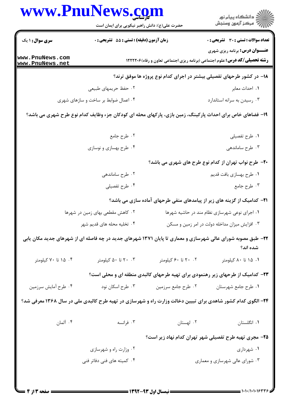|                                    | www.PnuNews.com                                                                                             |                     | ِ<br>∭ دانشڪاه پيام نور<br>∭ مرڪز آزمون وسنڊش                                                                              |  |
|------------------------------------|-------------------------------------------------------------------------------------------------------------|---------------------|----------------------------------------------------------------------------------------------------------------------------|--|
|                                    | حضرت علی(ع): دانش راهبر نیکویی برای ایمان است                                                               |                     |                                                                                                                            |  |
| سری سوال: ۱ یک                     | زمان آزمون (دقیقه) : تستی : 55 آتشریحی : 0                                                                  |                     | <b>تعداد سوالات : تستی : 30 - تشریحی : 0</b>                                                                               |  |
| www.PnuNews.com<br>www.PnuNews.net |                                                                                                             |                     | <b>عنـــوان درس:</b> برنامه ریزی شهری<br><b>رشته تحصیلی/کد درس:</b> علوم اجتماعی (برنامه ریزی اجتماعی تعاون و رفاه)1۲۲۲۲۰۶ |  |
|                                    |                                                                                                             |                     | ۱۸– در کشور طرحهای تفصیلی بیشتر در اجرای کدام نوع پروژه ها موفق ترند؟                                                      |  |
|                                    | ۰۲ حفظ حریمهای طبیعی                                                                                        |                     | ۰۱ احداث معابر                                                                                                             |  |
|                                    | ۰۴ اعمال ضوابط بر ساخت و سازهای شهری                                                                        |                     | ۰۳ رسیدن به سرانه استاندارد                                                                                                |  |
|                                    | ۱۹- فضاهای خاص برای احداث پارکینگ، زمین بازی، پارکهای محله ای کودکان جزء وظایف کدام نوع طرح شهری می باشد؟   |                     |                                                                                                                            |  |
|                                    |                                                                                                             |                     |                                                                                                                            |  |
|                                    | ۲. طرح جامع                                                                                                 |                     | ٠١ طرح تفصيلي                                                                                                              |  |
|                                    | ۰۴ طرح بهسازی و نوسازی                                                                                      |                     | ۰۳ طرح ساماندهی                                                                                                            |  |
|                                    |                                                                                                             |                     | +۲- طرح نواب تهران از کدام نوع طرح های شهری می باشد؟                                                                       |  |
|                                    | ۰۲ طرح ساماندهی                                                                                             |                     | ٠١ طرح بهسازي بافت قديم                                                                                                    |  |
|                                    | ۰۴ طرح تفصیلی                                                                                               |                     | ۰۳ طرح جامع                                                                                                                |  |
|                                    |                                                                                                             |                     | <b>۲۱</b> - کدامیک از گزینه های زیر از پیامدهای منفی طرحهای آماده سازی می باشد؟                                            |  |
|                                    | ۰۲ کاهش مقطعی بهای زمین در شهرها                                                                            |                     | ۰۱ اجرای نوعی شهرسازی نظام مند در حاشیه شهرها                                                                              |  |
|                                    | ۰۴ تخلیه محله های قدیم شهر                                                                                  |                     | ۰۳ افزایش میزان مداخله دولت در امر زمین و مسکن                                                                             |  |
|                                    | ۲۲– طبق مصوبه شورای عالی شهرسازی و معماری تا پایان ۱۳۷۱ شهرهای جدید در چه فاصله ای از شهرهای جدید مکان یابی |                     | شده اند؟                                                                                                                   |  |
| ۰۴ تا ۷۰ کیلومتر                   | ۰. ۲۰ تا ۵۰ کیلومتر                                                                                         | ۲۰ ۲۰ تا ۶۰ کیلومتر | ۰۱ ۱۵ تا ۸۰ کیلومتر                                                                                                        |  |
|                                    | ۲۳– کدامیک از طرحهای زیر رهنمودی برای تهیه طرحهای کالبدی منطقه ای و محلی است؟                               |                     |                                                                                                                            |  |
| ۰۴ طرح أمايش سرزمين                | ۰۳ طرح اسکان نود                                                                                            | ۰۲ طرح جامع سرزمین  | ٠١ طرح جامع شهرستان                                                                                                        |  |
|                                    | ۲۴- الگوی کدام کشور شاهدی برای تبیین دخالت وزارت راه و شهرسازی در تهیه طرح کالبدی ملی در سال ۱۳۶۸ معرفی شد؟ |                     |                                                                                                                            |  |
| ۰۴ آلمان                           | ۰۳ فرانسه                                                                                                   | ٠٢ لهستان           | ٠١ انگلستان                                                                                                                |  |
|                                    |                                                                                                             |                     | ۲۵- مجری تهیه طرح تفصیلی شهر تهران کدام نهاد زیر است؟                                                                      |  |
|                                    | ۰۲ وزارت راه و شهرسازی                                                                                      |                     | ۱. شهرداری                                                                                                                 |  |
|                                    | ۰۴ کمیته های فنی دفاتر فنی                                                                                  |                     | ۰۳ شورای عالی شهرسازی و معماری                                                                                             |  |